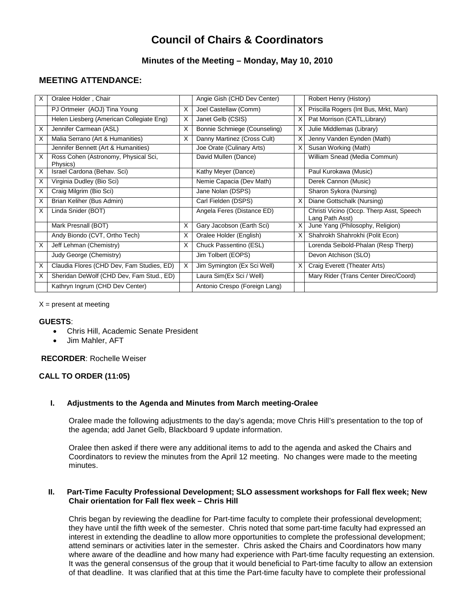# **Council of Chairs & Coordinators**

## **Minutes of the Meeting – Monday, May 10, 2010**

# **MEETING ATTENDANCE:**

| X | Oralee Holder, Chair                             |   | Angie Gish (CHD Dev Center)   |   | Robert Henry (History)                                      |
|---|--------------------------------------------------|---|-------------------------------|---|-------------------------------------------------------------|
|   | PJ Ortmeier (AOJ) Tina Young                     | X | Joel Castellaw (Comm)         | X | Priscilla Rogers (Int Bus, Mrkt, Man)                       |
|   | Helen Liesberg (American Collegiate Eng)         | X | Janet Gelb (CSIS)             |   | Pat Morrison (CATL, Library)                                |
| X | Jennifer Carmean (ASL)                           | X | Bonnie Schmiege (Counseling)  | X | Julie Middlemas (Library)                                   |
| X | Malia Serrano (Art & Humanities)                 | X | Danny Martinez (Cross Cult)   | X | Jenny Vanden Eynden (Math)                                  |
|   | Jennifer Bennett (Art & Humanities)              |   | Joe Orate (Culinary Arts)     | x | Susan Working (Math)                                        |
| X | Ross Cohen (Astronomy, Physical Sci,<br>Physics) |   | David Mullen (Dance)          |   | William Snead (Media Commun)                                |
| X | Israel Cardona (Behav. Sci)                      |   | Kathy Meyer (Dance)           |   | Paul Kurokawa (Music)                                       |
| X | Virginia Dudley (Bio Sci)                        |   | Nemie Capacia (Dev Math)      |   | Derek Cannon (Music)                                        |
| X | Craig Milgrim (Bio Sci)                          |   | Jane Nolan (DSPS)             |   | Sharon Sykora (Nursing)                                     |
| X | Brian Keliher (Bus Admin)                        |   | Carl Fielden (DSPS)           | X | Diane Gottschalk (Nursing)                                  |
| X | Linda Snider (BOT)                               |   | Angela Feres (Distance ED)    |   | Christi Vicino (Occp. Therp Asst, Speech<br>Lang Path Asst) |
|   | Mark Presnall (BOT)                              | X | Gary Jacobson (Earth Sci)     | X | June Yang (Philosophy, Religion)                            |
|   | Andy Biondo (CVT, Ortho Tech)                    | X | Oralee Holder (English)       |   | Shahrokh Shahrokhi (Polit Econ)                             |
| X | Jeff Lehman (Chemistry)                          | X | Chuck Passentino (ESL)        |   | Lorenda Seibold-Phalan (Resp Therp)                         |
|   | Judy George (Chemistry)                          |   | Jim Tolbert (EOPS)            |   | Devon Atchison (SLO)                                        |
| X | Claudia Flores (CHD Dev, Fam Studies, ED)        | X | Jim Symington (Ex Sci Well)   | X | Craig Everett (Theater Arts)                                |
| X | Sheridan DeWolf (CHD Dev, Fam Stud., ED)         |   | Laura Sim(Ex Sci / Well)      |   | Mary Rider (Trans Center Direc/Coord)                       |
|   | Kathryn Ingrum (CHD Dev Center)                  |   | Antonio Crespo (Foreign Lang) |   |                                                             |

#### $X =$  present at meeting

#### **GUESTS**:

- Chris Hill, Academic Senate President
- Jim Mahler, AFT

#### **RECORDER**: Rochelle Weiser

#### **CALL TO ORDER (11:05)**

#### **I. Adjustments to the Agenda and Minutes from March meeting-Oralee**

Oralee made the following adjustments to the day's agenda; move Chris Hill's presentation to the top of the agenda; add Janet Gelb, Blackboard 9 update information.

Oralee then asked if there were any additional items to add to the agenda and asked the Chairs and Coordinators to review the minutes from the April 12 meeting. No changes were made to the meeting minutes.

#### **II. Part-Time Faculty Professional Development; SLO assessment workshops for Fall flex week; New Chair orientation for Fall flex week – Chris Hill**

Chris began by reviewing the deadline for Part-time faculty to complete their professional development; they have until the fifth week of the semester. Chris noted that some part-time faculty had expressed an interest in extending the deadline to allow more opportunities to complete the professional development; attend seminars or activities later in the semester. Chris asked the Chairs and Coordinators how many where aware of the deadline and how many had experience with Part-time faculty requesting an extension. It was the general consensus of the group that it would beneficial to Part-time faculty to allow an extension of that deadline. It was clarified that at this time the Part-time faculty have to complete their professional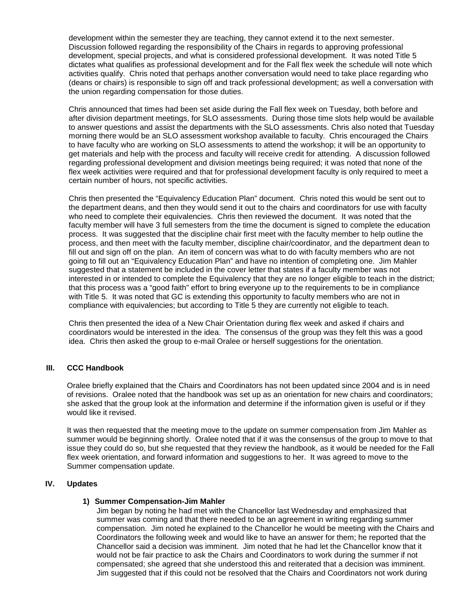development within the semester they are teaching, they cannot extend it to the next semester. Discussion followed regarding the responsibility of the Chairs in regards to approving professional development, special projects, and what is considered professional development. It was noted Title 5 dictates what qualifies as professional development and for the Fall flex week the schedule will note which activities qualify. Chris noted that perhaps another conversation would need to take place regarding who (deans or chairs) is responsible to sign off and track professional development; as well a conversation with the union regarding compensation for those duties.

Chris announced that times had been set aside during the Fall flex week on Tuesday, both before and after division department meetings, for SLO assessments. During those time slots help would be available to answer questions and assist the departments with the SLO assessments. Chris also noted that Tuesday morning there would be an SLO assessment workshop available to faculty. Chris encouraged the Chairs to have faculty who are working on SLO assessments to attend the workshop; it will be an opportunity to get materials and help with the process and faculty will receive credit for attending. A discussion followed regarding professional development and division meetings being required; it was noted that none of the flex week activities were required and that for professional development faculty is only required to meet a certain number of hours, not specific activities.

Chris then presented the "Equivalency Education Plan" document. Chris noted this would be sent out to the department deans, and then they would send it out to the chairs and coordinators for use with faculty who need to complete their equivalencies. Chris then reviewed the document. It was noted that the faculty member will have 3 full semesters from the time the document is signed to complete the education process. It was suggested that the discipline chair first meet with the faculty member to help outline the process, and then meet with the faculty member, discipline chair/coordinator, and the department dean to fill out and sign off on the plan. An item of concern was what to do with faculty members who are not going to fill out an "Equivalency Education Plan" and have no intention of completing one. Jim Mahler suggested that a statement be included in the cover letter that states if a faculty member was not interested in or intended to complete the Equivalency that they are no longer eligible to teach in the district; that this process was a "good faith" effort to bring everyone up to the requirements to be in compliance with Title 5. It was noted that GC is extending this opportunity to faculty members who are not in compliance with equivalencies; but according to Title 5 they are currently not eligible to teach.

Chris then presented the idea of a New Chair Orientation during flex week and asked if chairs and coordinators would be interested in the idea. The consensus of the group was they felt this was a good idea. Chris then asked the group to e-mail Oralee or herself suggestions for the orientation.

### **III. CCC Handbook**

Oralee briefly explained that the Chairs and Coordinators has not been updated since 2004 and is in need of revisions. Oralee noted that the handbook was set up as an orientation for new chairs and coordinators; she asked that the group look at the information and determine if the information given is useful or if they would like it revised.

It was then requested that the meeting move to the update on summer compensation from Jim Mahler as summer would be beginning shortly. Oralee noted that if it was the consensus of the group to move to that issue they could do so, but she requested that they review the handbook, as it would be needed for the Fall flex week orientation, and forward information and suggestions to her. It was agreed to move to the Summer compensation update.

#### **IV. Updates**

#### **1) Summer Compensation-Jim Mahler**

Jim began by noting he had met with the Chancellor last Wednesday and emphasized that summer was coming and that there needed to be an agreement in writing regarding summer compensation. Jim noted he explained to the Chancellor he would be meeting with the Chairs and Coordinators the following week and would like to have an answer for them; he reported that the Chancellor said a decision was imminent. Jim noted that he had let the Chancellor know that it would not be fair practice to ask the Chairs and Coordinators to work during the summer if not compensated; she agreed that she understood this and reiterated that a decision was imminent. Jim suggested that if this could not be resolved that the Chairs and Coordinators not work during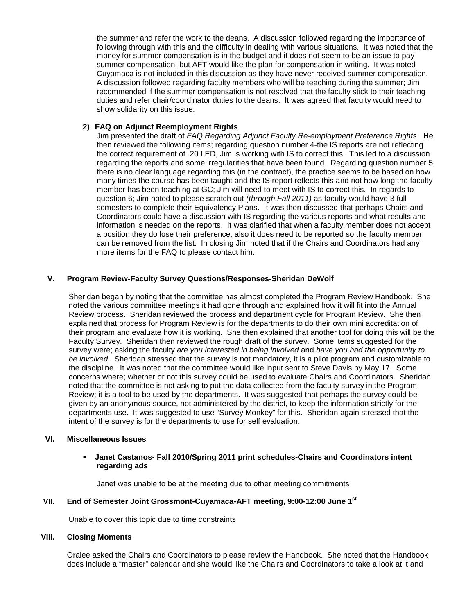the summer and refer the work to the deans. A discussion followed regarding the importance of following through with this and the difficulty in dealing with various situations. It was noted that the money for summer compensation is in the budget and it does not seem to be an issue to pay summer compensation, but AFT would like the plan for compensation in writing. It was noted Cuyamaca is not included in this discussion as they have never received summer compensation. A discussion followed regarding faculty members who will be teaching during the summer; Jim recommended if the summer compensation is not resolved that the faculty stick to their teaching duties and refer chair/coordinator duties to the deans. It was agreed that faculty would need to show solidarity on this issue.

#### **2) FAQ on Adjunct Reemployment Rights**

Jim presented the draft of *FAQ Regarding Adjunct Faculty Re-employment Preference Rights*. He then reviewed the following items; regarding question number 4-the IS reports are not reflecting the correct requirement of .20 LED, Jim is working with IS to correct this. This led to a discussion regarding the reports and some irregularities that have been found. Regarding question number 5; there is no clear language regarding this (in the contract), the practice seems to be based on how many times the course has been taught and the IS report reflects this and not how long the faculty member has been teaching at GC; Jim will need to meet with IS to correct this. In regards to question 6; Jim noted to please scratch out *(through Fall 2011)* as faculty would have 3 full semesters to complete their Equivalency Plans. It was then discussed that perhaps Chairs and Coordinators could have a discussion with IS regarding the various reports and what results and information is needed on the reports. It was clarified that when a faculty member does not accept a position they do lose their preference; also it does need to be reported so the faculty member can be removed from the list. In closing Jim noted that if the Chairs and Coordinators had any more items for the FAQ to please contact him.

## **V. Program Review-Faculty Survey Questions/Responses-Sheridan DeWolf**

Sheridan began by noting that the committee has almost completed the Program Review Handbook. She noted the various committee meetings it had gone through and explained how it will fit into the Annual Review process. Sheridan reviewed the process and department cycle for Program Review. She then explained that process for Program Review is for the departments to do their own mini accreditation of their program and evaluate how it is working. She then explained that another tool for doing this will be the Faculty Survey. Sheridan then reviewed the rough draft of the survey. Some items suggested for the survey were; asking the faculty *are you interested in being involved* and *have you had the opportunity to be involved*. Sheridan stressed that the survey is not mandatory, it is a pilot program and customizable to the discipline. It was noted that the committee would like input sent to Steve Davis by May 17. Some concerns where; whether or not this survey could be used to evaluate Chairs and Coordinators. Sheridan noted that the committee is not asking to put the data collected from the faculty survey in the Program Review; it is a tool to be used by the departments. It was suggested that perhaps the survey could be given by an anonymous source, not administered by the district, to keep the information strictly for the departments use. It was suggested to use "Survey Monkey" for this. Sheridan again stressed that the intent of the survey is for the departments to use for self evaluation.

## **VI. Miscellaneous Issues**

#### **Janet Castanos- Fall 2010/Spring 2011 print schedules-Chairs and Coordinators intent regarding ads**

Janet was unable to be at the meeting due to other meeting commitments

#### **VII. End of Semester Joint Grossmont-Cuyamaca-AFT meeting, 9:00-12:00 June 1st**

Unable to cover this topic due to time constraints

## **VIII. Closing Moments**

Oralee asked the Chairs and Coordinators to please review the Handbook. She noted that the Handbook does include a "master" calendar and she would like the Chairs and Coordinators to take a look at it and